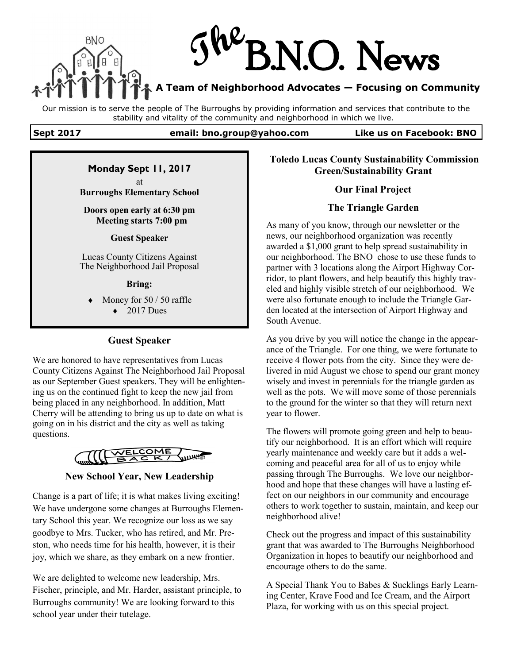

Our mission is to serve the people of The Burroughs by providing information and services that contribute to the stability and vitality of the community and neighborhood in which we live.

#### **Sept 2017 email: bno.group@yahoo.com Like us on Facebook: BNO**

## **Monday Sept 11, 2017**

at **Burroughs Elementary School**

**Doors open early at 6:30 pm Meeting starts 7:00 pm**

#### **Guest Speaker**

Lucas County Citizens Against The Neighborhood Jail Proposal

#### **Bring:**

- Money for 50 / 50 raffle
	- $\triangle$  2017 Dues

### **Guest Speaker**

We are honored to have representatives from Lucas County Citizens Against The Neighborhood Jail Proposal as our September Guest speakers. They will be enlightening us on the continued fight to keep the new jail from being placed in any neighborhood. In addition, Matt Cherry will be attending to bring us up to date on what is going on in his district and the city as well as taking questions.



### **New School Year, New Leadership**

Change is a part of life; it is what makes living exciting! We have undergone some changes at Burroughs Elementary School this year. We recognize our loss as we say goodbye to Mrs. Tucker, who has retired, and Mr. Preston, who needs time for his health, however, it is their joy, which we share, as they embark on a new frontier.

We are delighted to welcome new leadership, Mrs. Fischer, principle, and Mr. Harder, assistant principle, to Burroughs community! We are looking forward to this school year under their tutelage.

## **Toledo Lucas County Sustainability Commission Green/Sustainability Grant**

### **Our Final Project**

### **The Triangle Garden**

As many of you know, through our newsletter or the news, our neighborhood organization was recently awarded a \$1,000 grant to help spread sustainability in our neighborhood. The BNO chose to use these funds to partner with 3 locations along the Airport Highway Corridor, to plant flowers, and help beautify this highly traveled and highly visible stretch of our neighborhood. We were also fortunate enough to include the Triangle Garden located at the intersection of Airport Highway and South Avenue.

As you drive by you will notice the change in the appearance of the Triangle. For one thing, we were fortunate to receive 4 flower pots from the city. Since they were delivered in mid August we chose to spend our grant money wisely and invest in perennials for the triangle garden as well as the pots. We will move some of those perennials to the ground for the winter so that they will return next year to flower.

The flowers will promote going green and help to beautify our neighborhood. It is an effort which will require yearly maintenance and weekly care but it adds a welcoming and peaceful area for all of us to enjoy while passing through The Burroughs. We love our neighborhood and hope that these changes will have a lasting effect on our neighbors in our community and encourage others to work together to sustain, maintain, and keep our neighborhood alive!

Check out the progress and impact of this sustainability grant that was awarded to The Burroughs Neighborhood Organization in hopes to beautify our neighborhood and encourage others to do the same.

A Special Thank You to Babes & Sucklings Early Learning Center, Krave Food and Ice Cream, and the Airport Plaza, for working with us on this special project.